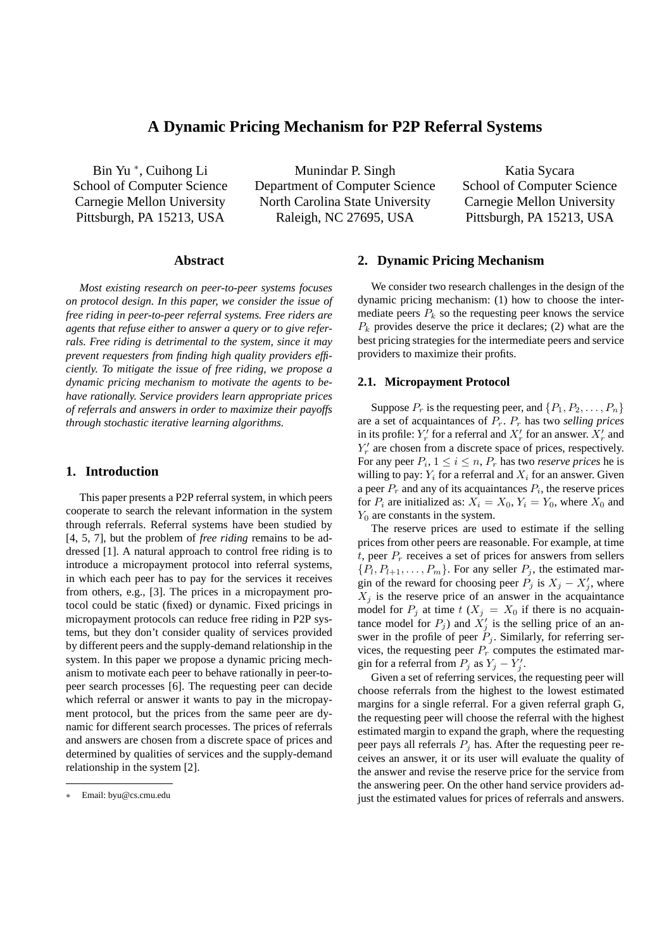# **A Dynamic Pricing Mechanism for P2P Referral Systems**

Bin Yu <sup>∗</sup> , Cuihong Li School of Computer Science Carnegie Mellon University Pittsburgh, PA 15213, USA

Munindar P. Singh Department of Computer Science North Carolina State University Raleigh, NC 27695, USA

Katia Sycara School of Computer Science Carnegie Mellon University Pittsburgh, PA 15213, USA

# **Abstract**

*Most existing research on peer-to-peer systems focuses on protocol design. In this paper, we consider the issue of free riding in peer-to-peer referral systems. Free riders are agents that refuse either to answer a query or to give referrals. Free riding is detrimental to the system, since it may prevent requesters from finding high quality providers efficiently. To mitigate the issue of free riding, we propose a dynamic pricing mechanism to motivate the agents to behave rationally. Service providers learn appropriate prices of referrals and answers in order to maximize their payoffs through stochastic iterative learning algorithms.*

## **1. Introduction**

This paper presents a P2P referral system, in which peers cooperate to search the relevant information in the system through referrals. Referral systems have been studied by [4, 5, 7], but the problem of *free riding* remains to be addressed [1]. A natural approach to control free riding is to introduce a micropayment protocol into referral systems, in which each peer has to pay for the services it receives from others, e.g., [3]. The prices in a micropayment protocol could be static (fixed) or dynamic. Fixed pricings in micropayment protocols can reduce free riding in P2P systems, but they don't consider quality of services provided by different peers and the supply-demand relationship in the system. In this paper we propose a dynamic pricing mechanism to motivate each peer to behave rationally in peer-topeer search processes [6]. The requesting peer can decide which referral or answer it wants to pay in the micropayment protocol, but the prices from the same peer are dynamic for different search processes. The prices of referrals and answers are chosen from a discrete space of prices and determined by qualities of services and the supply-demand relationship in the system [2].

# **2. Dynamic Pricing Mechanism**

We consider two research challenges in the design of the dynamic pricing mechanism: (1) how to choose the intermediate peers  $P_k$  so the requesting peer knows the service  $P_k$  provides deserve the price it declares; (2) what are the best pricing strategies for the intermediate peers and service providers to maximize their profits.

#### **2.1. Micropayment Protocol**

Suppose  $P_r$  is the requesting peer, and  $\{P_1, P_2, \ldots, P_n\}$ are a set of acquaintances of Pr. P<sup>r</sup> has two *selling prices* in its profile:  $Y'_r$  for a referral and  $X'_r$  for an answer.  $X'_r$  and  $Y'_r$  are chosen from a discrete space of prices, respectively. For any peer  $P_i$ ,  $1 \le i \le n$ ,  $P_r$  has two *reserve prices* he is willing to pay:  $Y_i$  for a referral and  $X_i$  for an answer. Given a peer  $P_r$  and any of its acquaintances  $P_i$ , the reserve prices for  $P_i$  are initialized as:  $X_i = X_0, Y_i = Y_0$ , where  $X_0$  and  $Y_0$  are constants in the system.

The reserve prices are used to estimate if the selling prices from other peers are reasonable. For example, at time t, peer  $P_r$  receives a set of prices for answers from sellers  $\{P_1, P_{l+1}, \ldots, P_m\}$ . For any seller  $P_j$ , the estimated margin of the reward for choosing peer  $\hat{P}_j$  is  $X_j - X'_j$ , where  $X_j$  is the reserve price of an answer in the acquaintance model for  $P_i$  at time  $t$  ( $X_i = X_0$  if there is no acquaintance model for  $P_j$ ) and  $\dot{X}_j'$  is the selling price of an answer in the profile of peer  $\tilde{P}_i$ . Similarly, for referring services, the requesting peer  $P_r$  computes the estimated margin for a referral from  $P_j$  as  $Y_j - Y'_j$ .

Given a set of referring services, the requesting peer will choose referrals from the highest to the lowest estimated margins for a single referral. For a given referral graph G, the requesting peer will choose the referral with the highest estimated margin to expand the graph, where the requesting peer pays all referrals  $P_i$  has. After the requesting peer receives an answer, it or its user will evaluate the quality of the answer and revise the reserve price for the service from the answering peer. On the other hand service providers adjust the estimated values for prices of referrals and answers.

<sup>∗</sup> Email: byu@cs.cmu.edu